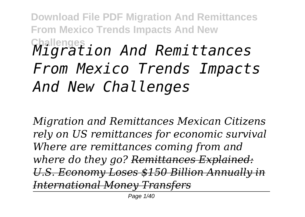# **Challenges** *Migration And Remittances From Mexico Trends Impacts And New Challenges*

*Migration and Remittances Mexican Citizens rely on US remittances for economic survival Where are remittances coming from and where do they go? Remittances Explained: U.S. Economy Loses \$150 Billion Annually in International Money Transfers*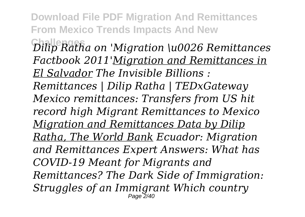**Challenges** *Dilip Ratha on 'Migration \u0026 Remittances Factbook 2011'Migration and Remittances in El Salvador The Invisible Billions :*

*Remittances | Dilip Ratha | TEDxGateway Mexico remittances: Transfers from US hit record high Migrant Remittances to Mexico Migration and Remittances Data by Dilip Ratha, The World Bank Ecuador: Migration and Remittances Expert Answers: What has COVID-19 Meant for Migrants and Remittances? The Dark Side of Immigration: Struggles of an Immigrant Which country* Page 2/40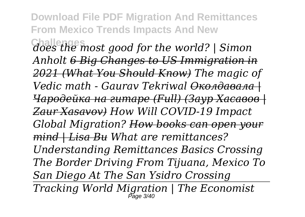**Challenges** *does the most good for the world? | Simon Anholt 6 Big Changes to US Immigration in 2021 (What You Should Know) The magic of Vedic math - Gaurav Tekriwal Околдавала | Чародейка на гитаре (Full) (Заур Хасавов | Zaur Xasavov) How Will COVID-19 Impact Global Migration? How books can open your mind | Lisa Bu What are remittances? Understanding Remittances Basics Crossing The Border Driving From Tijuana, Mexico To San Diego At The San Ysidro Crossing Tracking World Migration | The Economist* Page 3/40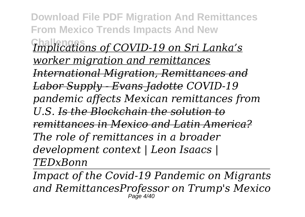**Download File PDF Migration And Remittances From Mexico Trends Impacts And New Challenges** *Implications of COVID-19 on Sri Lanka's worker migration and remittances International Migration, Remittances and Labor Supply - Evans Jadotte COVID-19 pandemic affects Mexican remittances from U.S. Is the Blockchain the solution to remittances in Mexico and Latin America? The role of remittances in a broader development context | Leon Isaacs | TEDxBonn*

*Impact of the Covid-19 Pandemic on Migrants and RemittancesProfessor on Trump's Mexico* Page 4/40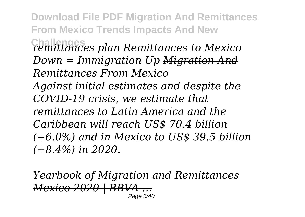**Download File PDF Migration And Remittances From Mexico Trends Impacts And New Challenges** *remittances plan Remittances to Mexico Down = Immigration Up Migration And Remittances From Mexico Against initial estimates and despite the COVID-19 crisis, we estimate that remittances to Latin America and the Caribbean will reach US\$ 70.4 billion (+6.0%) and in Mexico to US\$ 39.5 billion (+8.4%) in 2020.*

*Yearbook of Migration and Remittances Mexico 2020 | BBVA ...* Page 5/40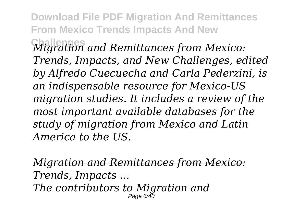**Challenges** *Migration and Remittances from Mexico: Trends, Impacts, and New Challenges, edited by Alfredo Cuecuecha and Carla Pederzini, is an indispensable resource for Mexico-US migration studies. It includes a review of the most important available databases for the study of migration from Mexico and Latin America to the US.*

*Migration and Remittances from Mexico: Trends, Impacts ...*

*The contributors to Migration and* Page 6/40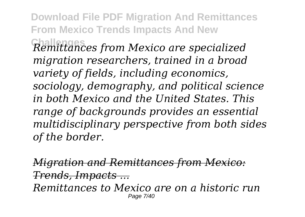**Challenges** *Remittances from Mexico are specialized migration researchers, trained in a broad variety of fields, including economics, sociology, demography, and political science in both Mexico and the United States. This range of backgrounds provides an essential multidisciplinary perspective from both sides of the border.*

*Migration and Remittances from Mexico: Trends, Impacts ...*

*Remittances to Mexico are on a historic run* Page 7/40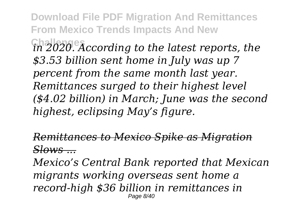**Download File PDF Migration And Remittances From Mexico Trends Impacts And New Challenges** *in 2020. According to the latest reports, the \$3.53 billion sent home in July was up 7 percent from the same month last year. Remittances surged to their highest level (\$4.02 billion) in March; June was the second highest, eclipsing May's figure.*

*Remittances to Mexico Spike as Migration Slows ...*

*Mexico's Central Bank reported that Mexican migrants working overseas sent home a record-high \$36 billion in remittances in* Page 8/40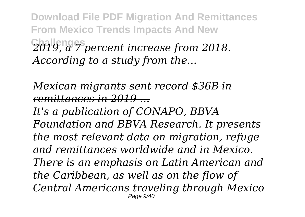**Download File PDF Migration And Remittances From Mexico Trends Impacts And New Challenges** *2019, a 7 percent increase from 2018. According to a study from the...*

*Mexican migrants sent record \$36B in remittances in 2019 ...*

*It's a publication of CONAPO, BBVA Foundation and BBVA Research. It presents the most relevant data on migration, refuge and remittances worldwide and in Mexico. There is an emphasis on Latin American and the Caribbean, as well as on the flow of Central Americans traveling through Mexico* Page 9/40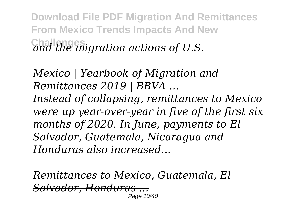**Download File PDF Migration And Remittances From Mexico Trends Impacts And New Challenges** *and the migration actions of U.S.*

*Mexico | Yearbook of Migration and Remittances 2019 | BBVA ...*

*Instead of collapsing, remittances to Mexico were up year-over-year in five of the first six months of 2020. In June, payments to El Salvador, Guatemala, Nicaragua and Honduras also increased...*

*Remittances to Mexico, Guatemala, El Salvador, Honduras ...* Page 10/40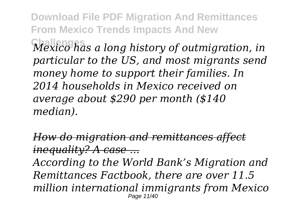**Challenges** *Mexico has a long history of outmigration, in particular to the US, and most migrants send money home to support their families. In 2014 households in Mexico received on average about \$290 per month (\$140 median).*

*How do migration and remittances affect inequality? A case ...*

*According to the World Bank's Migration and Remittances Factbook, there are over 11.5 million international immigrants from Mexico* Page 11/40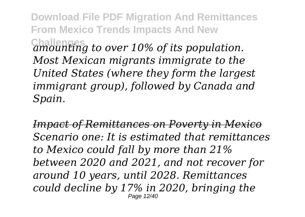**Download File PDF Migration And Remittances From Mexico Trends Impacts And New Challenges** *amounting to over 10% of its population. Most Mexican migrants immigrate to the United States (where they form the largest immigrant group), followed by Canada and Spain.*

*Impact of Remittances on Poverty in Mexico Scenario one: It is estimated that remittances to Mexico could fall by more than 21% between 2020 and 2021, and not recover for around 10 years, until 2028. Remittances could decline by 17% in 2020, bringing the* Page 12/40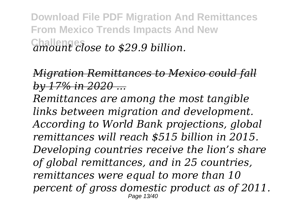**Download File PDF Migration And Remittances From Mexico Trends Impacts And New Challenges** *amount close to \$29.9 billion.*

### *Migration Remittances to Mexico could fall by 17% in 2020 ...*

*Remittances are among the most tangible links between migration and development. According to World Bank projections, global remittances will reach \$515 billion in 2015. Developing countries receive the lion's share of global remittances, and in 25 countries, remittances were equal to more than 10 percent of gross domestic product as of 2011.* Page 13/40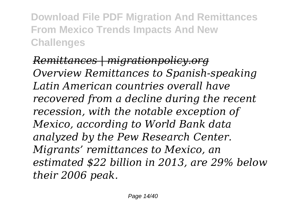*Remittances | migrationpolicy.org Overview Remittances to Spanish-speaking Latin American countries overall have recovered from a decline during the recent recession, with the notable exception of Mexico, according to World Bank data analyzed by the Pew Research Center. Migrants' remittances to Mexico, an estimated \$22 billion in 2013, are 29% below their 2006 peak.*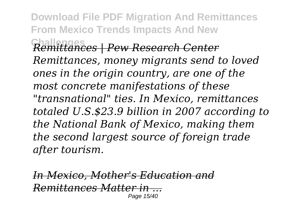**Download File PDF Migration And Remittances From Mexico Trends Impacts And New Challenges** *Remittances | Pew Research Center Remittances, money migrants send to loved ones in the origin country, are one of the most concrete manifestations of these "transnational" ties. In Mexico, remittances totaled U.S.\$23.9 billion in 2007 according to the National Bank of Mexico, making them the second largest source of foreign trade after tourism.*

*In Mexico, Mother's Education and Remittances Matter in ...* Page 15/40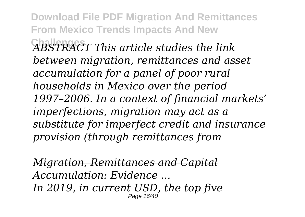**Download File PDF Migration And Remittances From Mexico Trends Impacts And New Challenges** *ABSTRACT This article studies the link between migration, remittances and asset accumulation for a panel of poor rural households in Mexico over the period 1997–2006. In a context of financial markets' imperfections, migration may act as a substitute for imperfect credit and insurance provision (through remittances from*

*Migration, Remittances and Capital Accumulation: Evidence ... In 2019, in current USD, the top five* Page 16/40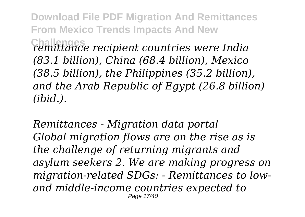**Challenges** *remittance recipient countries were India (83.1 billion), China (68.4 billion), Mexico (38.5 billion), the Philippines (35.2 billion), and the Arab Republic of Egypt (26.8 billion) (ibid.).*

*Remittances - Migration data portal Global migration flows are on the rise as is the challenge of returning migrants and asylum seekers 2. We are making progress on migration-related SDGs: - Remittances to lowand middle-income countries expected to* Page 17/40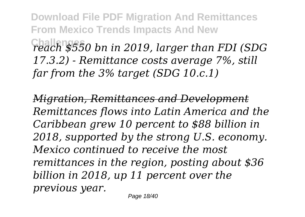**Challenges** *reach \$550 bn in 2019, larger than FDI (SDG 17.3.2) - Remittance costs average 7%, still far from the 3% target (SDG 10.c.1)*

*Migration, Remittances and Development Remittances flows into Latin America and the Caribbean grew 10 percent to \$88 billion in 2018, supported by the strong U.S. economy. Mexico continued to receive the most remittances in the region, posting about \$36 billion in 2018, up 11 percent over the previous year.*

Page 18/40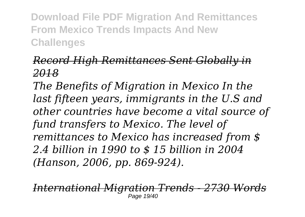### *Record High Remittances Sent Globally in 2018*

*The Benefits of Migration in Mexico In the last fifteen years, immigrants in the U.S and other countries have become a vital source of fund transfers to Mexico. The level of remittances to Mexico has increased from \$ 2.4 billion in 1990 to \$ 15 billion in 2004 (Hanson, 2006, pp. 869-924).*

*International Migration Trends - 2730 Words* Page 19/40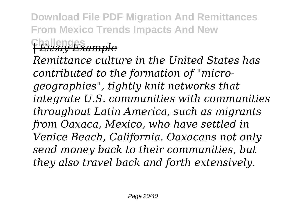**Challenges** *| Essay Example*

*Remittance culture in the United States has contributed to the formation of "microgeographies", tightly knit networks that integrate U.S. communities with communities throughout Latin America, such as migrants from Oaxaca, Mexico, who have settled in Venice Beach, California. Oaxacans not only send money back to their communities, but they also travel back and forth extensively.*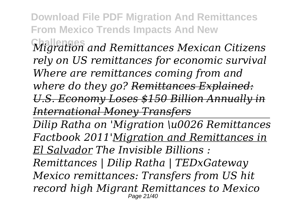**Challenges** *Migration and Remittances Mexican Citizens rely on US remittances for economic survival Where are remittances coming from and where do they go? Remittances Explained: U.S. Economy Loses \$150 Billion Annually in International Money Transfers*

*Dilip Ratha on 'Migration \u0026 Remittances Factbook 2011'Migration and Remittances in El Salvador The Invisible Billions :*

*Remittances | Dilip Ratha | TEDxGateway Mexico remittances: Transfers from US hit record high Migrant Remittances to Mexico* Page 21/40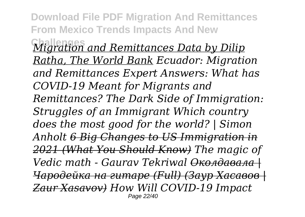**Challenges** *Migration and Remittances Data by Dilip Ratha, The World Bank Ecuador: Migration and Remittances Expert Answers: What has COVID-19 Meant for Migrants and Remittances? The Dark Side of Immigration: Struggles of an Immigrant Which country does the most good for the world? | Simon Anholt 6 Big Changes to US Immigration in 2021 (What You Should Know) The magic of Vedic math - Gaurav Tekriwal Околдавала | Чародейка на гитаре (Full) (Заур Хасавов | Zaur Xasavov) How Will COVID-19 Impact* Page 22/40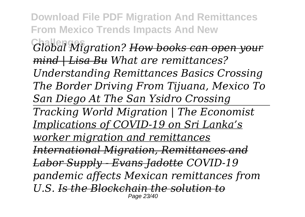**Download File PDF Migration And Remittances From Mexico Trends Impacts And New Challenges** *Global Migration? How books can open your mind | Lisa Bu What are remittances? Understanding Remittances Basics Crossing The Border Driving From Tijuana, Mexico To San Diego At The San Ysidro Crossing Tracking World Migration | The Economist Implications of COVID-19 on Sri Lanka's worker migration and remittances International Migration, Remittances and Labor Supply - Evans Jadotte COVID-19 pandemic affects Mexican remittances from U.S. Is the Blockchain the solution to* Page 23/40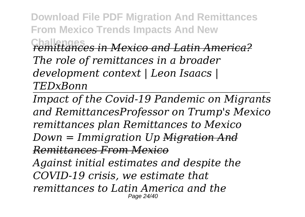**Challenges** *remittances in Mexico and Latin America? The role of remittances in a broader development context | Leon Isaacs | TEDxBonn*

*Impact of the Covid-19 Pandemic on Migrants and RemittancesProfessor on Trump's Mexico remittances plan Remittances to Mexico Down = Immigration Up Migration And Remittances From Mexico Against initial estimates and despite the*

*COVID-19 crisis, we estimate that*

*remittances to Latin America and the* Page 24/40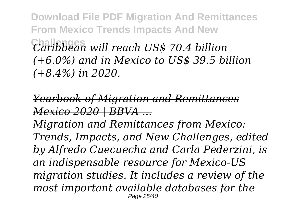**Challenges** *Caribbean will reach US\$ 70.4 billion (+6.0%) and in Mexico to US\$ 39.5 billion (+8.4%) in 2020.*

*Yearbook of Migration and Remittances Mexico 2020 | BBVA ...*

*Migration and Remittances from Mexico: Trends, Impacts, and New Challenges, edited by Alfredo Cuecuecha and Carla Pederzini, is an indispensable resource for Mexico-US migration studies. It includes a review of the most important available databases for the* Page 25/40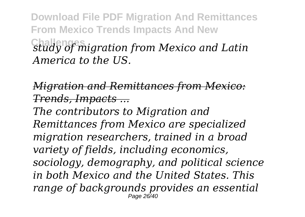**Download File PDF Migration And Remittances From Mexico Trends Impacts And New Challenges** *study of migration from Mexico and Latin America to the US.*

*Migration and Remittances from Mexico: Trends, Impacts ...*

*The contributors to Migration and Remittances from Mexico are specialized migration researchers, trained in a broad variety of fields, including economics, sociology, demography, and political science in both Mexico and the United States. This range of backgrounds provides an essential* Page 26/40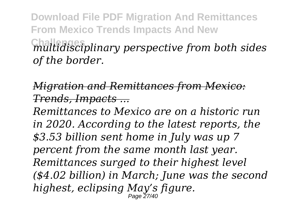**Download File PDF Migration And Remittances From Mexico Trends Impacts And New Challenges** *multidisciplinary perspective from both sides of the border.*

*Migration and Remittances from Mexico: Trends, Impacts ...*

*Remittances to Mexico are on a historic run in 2020. According to the latest reports, the \$3.53 billion sent home in July was up 7 percent from the same month last year. Remittances surged to their highest level (\$4.02 billion) in March; June was the second highest, eclipsing May's figure.* Page 27/40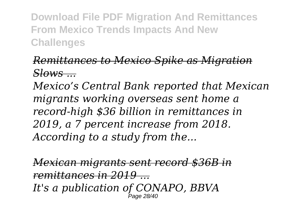### *Remittances to Mexico Spike as Migration Slows ...*

*Mexico's Central Bank reported that Mexican migrants working overseas sent home a record-high \$36 billion in remittances in 2019, a 7 percent increase from 2018. According to a study from the...*

*Mexican migrants sent record \$36B in remittances in 2019 ... It's a publication of CONAPO, BBVA* Page 28/40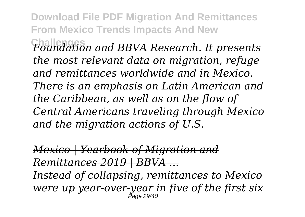**Challenges** *Foundation and BBVA Research. It presents the most relevant data on migration, refuge and remittances worldwide and in Mexico. There is an emphasis on Latin American and the Caribbean, as well as on the flow of Central Americans traveling through Mexico and the migration actions of U.S.*

*Mexico | Yearbook of Migration and Remittances 2019 | BBVA ... Instead of collapsing, remittances to Mexico were up year-over-year in five of the first six* Page 29/40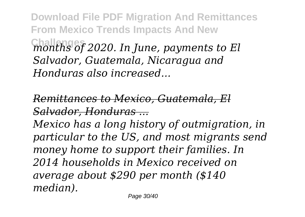**Download File PDF Migration And Remittances From Mexico Trends Impacts And New Challenges** *months of 2020. In June, payments to El Salvador, Guatemala, Nicaragua and Honduras also increased...*

*Remittances to Mexico, Guatemala, El Salvador, Honduras ...*

*Mexico has a long history of outmigration, in particular to the US, and most migrants send money home to support their families. In 2014 households in Mexico received on average about \$290 per month (\$140 median).*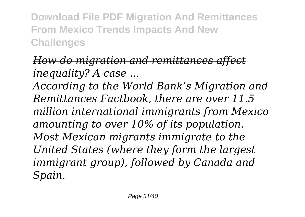## *How do migration and remittances affect inequality? A case ...*

*According to the World Bank's Migration and Remittances Factbook, there are over 11.5 million international immigrants from Mexico amounting to over 10% of its population. Most Mexican migrants immigrate to the United States (where they form the largest immigrant group), followed by Canada and Spain.*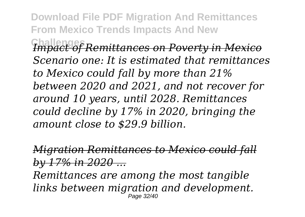**Download File PDF Migration And Remittances From Mexico Trends Impacts And New Challenges** *Impact of Remittances on Poverty in Mexico Scenario one: It is estimated that remittances to Mexico could fall by more than 21% between 2020 and 2021, and not recover for around 10 years, until 2028. Remittances could decline by 17% in 2020, bringing the amount close to \$29.9 billion.*

*Migration Remittances to Mexico could fall by 17% in 2020 ... Remittances are among the most tangible links between migration and development.* Page 32/40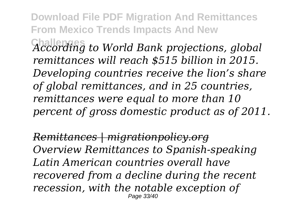**Download File PDF Migration And Remittances From Mexico Trends Impacts And New Challenges** *According to World Bank projections, global remittances will reach \$515 billion in 2015. Developing countries receive the lion's share of global remittances, and in 25 countries, remittances were equal to more than 10 percent of gross domestic product as of 2011.*

*Remittances | migrationpolicy.org Overview Remittances to Spanish-speaking Latin American countries overall have recovered from a decline during the recent recession, with the notable exception of* Page 33/40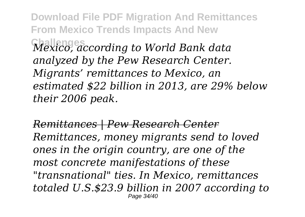**Download File PDF Migration And Remittances From Mexico Trends Impacts And New Challenges** *Mexico, according to World Bank data analyzed by the Pew Research Center. Migrants' remittances to Mexico, an estimated \$22 billion in 2013, are 29% below their 2006 peak.*

*Remittances | Pew Research Center Remittances, money migrants send to loved ones in the origin country, are one of the most concrete manifestations of these "transnational" ties. In Mexico, remittances totaled U.S.\$23.9 billion in 2007 according to* Page 34/40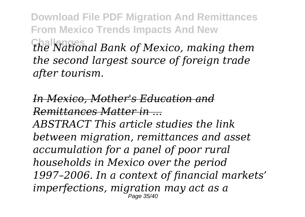**Challenges** *the National Bank of Mexico, making them the second largest source of foreign trade after tourism.*

*In Mexico, Mother's Education and Remittances Matter in ...*

*ABSTRACT This article studies the link between migration, remittances and asset accumulation for a panel of poor rural households in Mexico over the period 1997–2006. In a context of financial markets' imperfections, migration may act as a* Page 35/40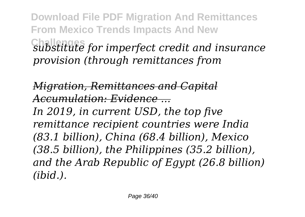**Download File PDF Migration And Remittances From Mexico Trends Impacts And New Challenges** *substitute for imperfect credit and insurance provision (through remittances from*

*Migration, Remittances and Capital Accumulation: Evidence ... In 2019, in current USD, the top five remittance recipient countries were India (83.1 billion), China (68.4 billion), Mexico (38.5 billion), the Philippines (35.2 billion), and the Arab Republic of Egypt (26.8 billion) (ibid.).*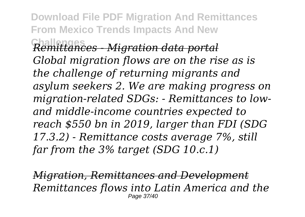**Download File PDF Migration And Remittances From Mexico Trends Impacts And New Challenges** *Remittances - Migration data portal Global migration flows are on the rise as is the challenge of returning migrants and asylum seekers 2. We are making progress on migration-related SDGs: - Remittances to lowand middle-income countries expected to reach \$550 bn in 2019, larger than FDI (SDG 17.3.2) - Remittance costs average 7%, still far from the 3% target (SDG 10.c.1)*

*Migration, Remittances and Development Remittances flows into Latin America and the* Page 37/40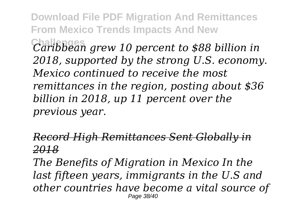**Download File PDF Migration And Remittances From Mexico Trends Impacts And New Challenges** *Caribbean grew 10 percent to \$88 billion in 2018, supported by the strong U.S. economy. Mexico continued to receive the most remittances in the region, posting about \$36 billion in 2018, up 11 percent over the*

*previous year.*

#### *Record High Remittances Sent Globally in 2018*

*The Benefits of Migration in Mexico In the last fifteen years, immigrants in the U.S and other countries have become a vital source of* Page 38/40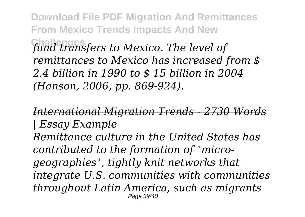**Download File PDF Migration And Remittances From Mexico Trends Impacts And New Challenges** *fund transfers to Mexico. The level of remittances to Mexico has increased from \$ 2.4 billion in 1990 to \$ 15 billion in 2004 (Hanson, 2006, pp. 869-924).*

*International Migration Trends - 2730 Words | Essay Example Remittance culture in the United States has contributed to the formation of "microgeographies", tightly knit networks that integrate U.S. communities with communities throughout Latin America, such as migrants* Page 39/40